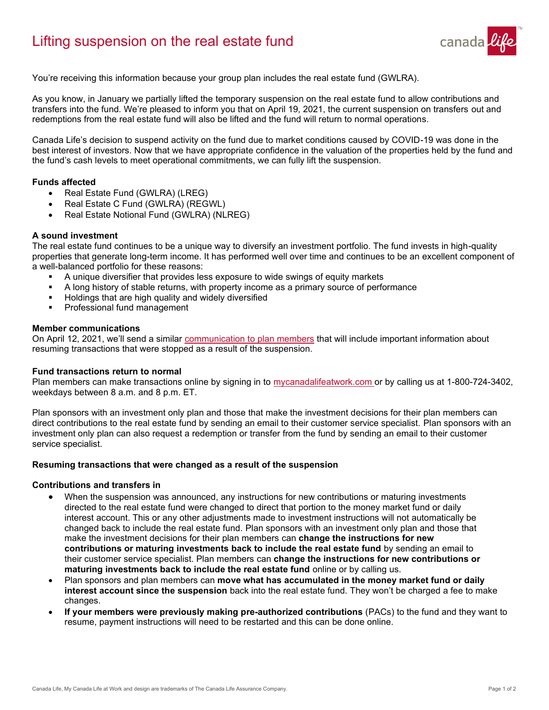# Lifting suspension on the real estate fund



You're receiving this information because your group plan includes the real estate fund (GWLRA).

As you know, in January we partially lifted the temporary suspension on the real estate fund to allow contributions and transfers into the fund. We're pleased to inform you that on April 19, 2021, the current suspension on transfers out and redemptions from the real estate fund will also be lifted and the fund will return to normal operations.

Canada Life's decision to suspend activity on the fund due to market conditions caused by COVID-19 was done in the best interest of investors. Now that we have appropriate confidence in the valuation of the properties held by the fund and the fund's cash levels to meet operational commitments, we can fully lift the suspension.

# **Funds affected**

- Real Estate Fund (GWLRA) (LREG)
- Real Estate C Fund (GWLRA) (REGWL)
- Real Estate Notional Fund (GWLRA) (NLREG)

# **A sound investment**

The real estate fund continues to be a unique way to diversify an investment portfolio. The fund invests in high-quality properties that generate long-term income. It has performed well over time and continues to be an excellent component of a well-balanced portfolio for these reasons:

- A unique diversifier that provides less exposure to wide swings of equity markets
- A long history of stable returns, with property income as a primary source of performance
- Holdings that are high quality and widely diversified
- Professional fund management

## **Member communications**

On April 12, 2021, we'll send a similar [communication to plan members](https://s3-us-west-2.amazonaws.com/assets.cl-toolkit.com/DMO/1-PDF/2021/DMO-14882/Member-suspension-lift-letter.pdf) that will include important information about resuming transactions that were stopped as a result of the suspension.

#### **Fund transactions return to normal**

Plan members can make transactions online by signing in to [mycanadalifeatwork.com](https://my.canadalife.com/climsMyLogin?ec=302&startURL=%2Fs%2F) or by calling us at 1-800-724-3402, weekdays between 8 a.m. and 8 p.m. ET.

Plan sponsors with an investment only plan and those that make the investment decisions for their plan members can direct contributions to the real estate fund by sending an email to their customer service specialist. Plan sponsors with an investment only plan can also request a redemption or transfer from the fund by sending an email to their customer service specialist.

# **Resuming transactions that were changed as a result of the suspension**

#### **Contributions and transfers in**

- When the suspension was announced, any instructions for new contributions or maturing investments directed to the real estate fund were changed to direct that portion to the money market fund or daily interest account. This or any other adjustments made to investment instructions will not automatically be changed back to include the real estate fund. Plan sponsors with an investment only plan and those that make the investment decisions for their plan members can **change the instructions for new contributions or maturing investments back to include the real estate fund** by sending an email to their customer service specialist. Plan members can **change the instructions for new contributions or maturing investments back to include the real estate fund** online or by calling us.
- Plan sponsors and plan members can **move what has accumulated in the money market fund or daily interest account since the suspension** back into the real estate fund. They won't be charged a fee to make changes.
- **If your members were previously making pre-authorized contributions** (PACs) to the fund and they want to resume, payment instructions will need to be restarted and this can be done online.